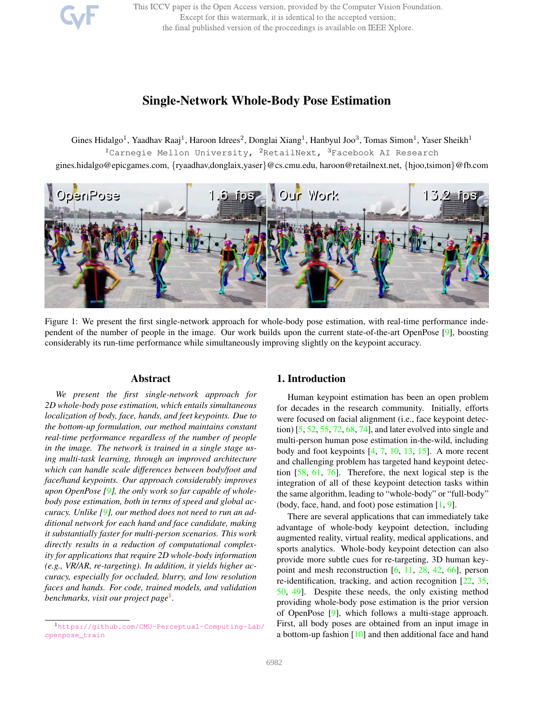This ICCV paper is the Open Access version, provided by the Computer Vision Foundation. Except for this watermark, it is identical to the accepted version; the final published version of the proceedings is available on IEEE Xplore.

# Single-Network Whole-Body Pose Estimation

Gines Hidalgo<sup>1</sup>, Yaadhav Raaj<sup>1</sup>, Haroon Idrees<sup>2</sup>, Donglai Xiang<sup>1</sup>, Hanbyul Joo<sup>3</sup>, Tomas Simon<sup>1</sup>, Yaser Sheikh<sup>1</sup>  $1$ Carnegie Mellon University,  $2$ RetailNext,  $3$ Facebook AI Research gines.hidalgo@epicgames.com, {ryaadhav,donglaix,yaser}@cs.cmu.edu, haroon@retailnext.net, {hjoo,tsimon}@fb.com



Figure 1: We present the first single-network approach for whole-body pose estimation, with real-time performance independent of the number of people in the image. Our work builds upon the current state-of-the-art OpenPose [9], boosting considerably its run-time performance while simultaneously improving slightly on the keypoint accuracy.

### Abstract

*We present the first single-network approach for 2D whole-body pose estimation, which entails simultaneous localization of body, face, hands, and feet keypoints. Due to the bottom-up formulation, our method maintains constant real-time performance regardless of the number of people in the image. The network is trained in a single stage using multi-task learning, through an improved architecture which can handle scale differences between body/foot and face/hand keypoints. Our approach considerably improves upon OpenPose [9], the only work so far capable of wholebody pose estimation, both in terms of speed and global accuracy. Unlike [9], our method does not need to run an additional network for each hand and face candidate, making it substantially faster for multi-person scenarios. This work directly results in a reduction of computational complexity for applications that require 2D whole-body information (e.g., VR/AR, re-targeting). In addition, it yields higher accuracy, especially for occluded, blurry, and low resolution faces and hands. For code, trained models, and validation benchmarks, visit our project page*<sup>1</sup> *.*

### 1. Introduction

Human keypoint estimation has been an open problem for decades in the research community. Initially, efforts were focused on facial alignment (i.e., face keypoint detection) [5, 52, 55, 72, 68, 74], and later evolved into single and multi-person human pose estimation in-the-wild, including body and foot keypoints  $[4, 7, 10, 13, 15]$ . A more recent and challenging problem has targeted hand keypoint detection [58, 61, 76]. Therefore, the next logical step is the integration of all of these keypoint detection tasks within the same algorithm, leading to "whole-body" or "full-body" (body, face, hand, and foot) pose estimation [1, 9].

There are several applications that can immediately take advantage of whole-body keypoint detection, including augmented reality, virtual reality, medical applications, and sports analytics. Whole-body keypoint detection can also provide more subtle cues for re-targeting, 3D human keypoint and mesh reconstruction [6, 11, 28, 42, 66], person re-identification, tracking, and action recognition [22, 35, 50, 49]. Despite these needs, the only existing method providing whole-body pose estimation is the prior version of OpenPose [9], which follows a multi-stage approach. First, all body poses are obtained from an input image in a bottom-up fashion [10] and then additional face and hand

<sup>1</sup>https://github.com/CMU-Perceptual-Computing-Lab/ openpose\_train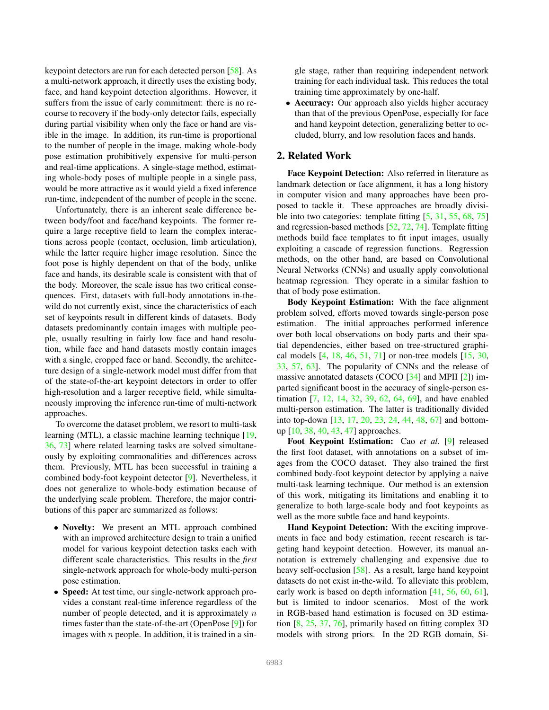keypoint detectors are run for each detected person [58]. As a multi-network approach, it directly uses the existing body, face, and hand keypoint detection algorithms. However, it suffers from the issue of early commitment: there is no recourse to recovery if the body-only detector fails, especially during partial visibility when only the face or hand are visible in the image. In addition, its run-time is proportional to the number of people in the image, making whole-body pose estimation prohibitively expensive for multi-person and real-time applications. A single-stage method, estimating whole-body poses of multiple people in a single pass, would be more attractive as it would yield a fixed inference run-time, independent of the number of people in the scene.

Unfortunately, there is an inherent scale difference between body/foot and face/hand keypoints. The former require a large receptive field to learn the complex interactions across people (contact, occlusion, limb articulation), while the latter require higher image resolution. Since the foot pose is highly dependent on that of the body, unlike face and hands, its desirable scale is consistent with that of the body. Moreover, the scale issue has two critical consequences. First, datasets with full-body annotations in-thewild do not currently exist, since the characteristics of each set of keypoints result in different kinds of datasets. Body datasets predominantly contain images with multiple people, usually resulting in fairly low face and hand resolution, while face and hand datasets mostly contain images with a single, cropped face or hand. Secondly, the architecture design of a single-network model must differ from that of the state-of-the-art keypoint detectors in order to offer high-resolution and a larger receptive field, while simultaneously improving the inference run-time of multi-network approaches.

To overcome the dataset problem, we resort to multi-task learning (MTL), a classic machine learning technique [19, 36, 73] where related learning tasks are solved simultaneously by exploiting commonalities and differences across them. Previously, MTL has been successful in training a combined body-foot keypoint detector [9]. Nevertheless, it does not generalize to whole-body estimation because of the underlying scale problem. Therefore, the major contributions of this paper are summarized as follows:

- Novelty: We present an MTL approach combined with an improved architecture design to train a unified model for various keypoint detection tasks each with different scale characteristics. This results in the *first* single-network approach for whole-body multi-person pose estimation.
- Speed: At test time, our single-network approach provides a constant real-time inference regardless of the number of people detected, and it is approximately  $n$ times faster than the state-of-the-art (OpenPose [9]) for images with  $n$  people. In addition, it is trained in a sin-

gle stage, rather than requiring independent network training for each individual task. This reduces the total training time approximately by one-half.

• Accuracy: Our approach also yields higher accuracy than that of the previous OpenPose, especially for face and hand keypoint detection, generalizing better to occluded, blurry, and low resolution faces and hands.

# 2. Related Work

Face Keypoint Detection: Also referred in literature as landmark detection or face alignment, it has a long history in computer vision and many approaches have been proposed to tackle it. These approaches are broadly divisible into two categories: template fitting [5, 31, 55, 68, 75] and regression-based methods [52, 72, 74]. Template fitting methods build face templates to fit input images, usually exploiting a cascade of regression functions. Regression methods, on the other hand, are based on Convolutional Neural Networks (CNNs) and usually apply convolutional heatmap regression. They operate in a similar fashion to that of body pose estimation.

Body Keypoint Estimation: With the face alignment problem solved, efforts moved towards single-person pose estimation. The initial approaches performed inference over both local observations on body parts and their spatial dependencies, either based on tree-structured graphical models  $[4, 18, 46, 51, 71]$  or non-tree models  $[15, 30, 10]$ 33, 57, 63]. The popularity of CNNs and the release of massive annotated datasets (COCO  $[34]$  and MPII  $[2]$ ) imparted significant boost in the accuracy of single-person estimation [7, 12, 14, 32, 39, 62, 64, 69], and have enabled multi-person estimation. The latter is traditionally divided into top-down [13, 17, 20, 23, 24, 44, 48, 67] and bottomup [10, 38, 40, 43, 47] approaches.

Foot Keypoint Estimation: Cao *et al*. [9] released the first foot dataset, with annotations on a subset of images from the COCO dataset. They also trained the first combined body-foot keypoint detector by applying a naive multi-task learning technique. Our method is an extension of this work, mitigating its limitations and enabling it to generalize to both large-scale body and foot keypoints as well as the more subtle face and hand keypoints.

Hand Keypoint Detection: With the exciting improvements in face and body estimation, recent research is targeting hand keypoint detection. However, its manual annotation is extremely challenging and expensive due to heavy self-occlusion [58]. As a result, large hand keypoint datasets do not exist in-the-wild. To alleviate this problem, early work is based on depth information [41, 56, 60, 61], but is limited to indoor scenarios. Most of the work in RGB-based hand estimation is focused on 3D estimation [8, 25, 37, 76], primarily based on fitting complex 3D models with strong priors. In the 2D RGB domain, Si-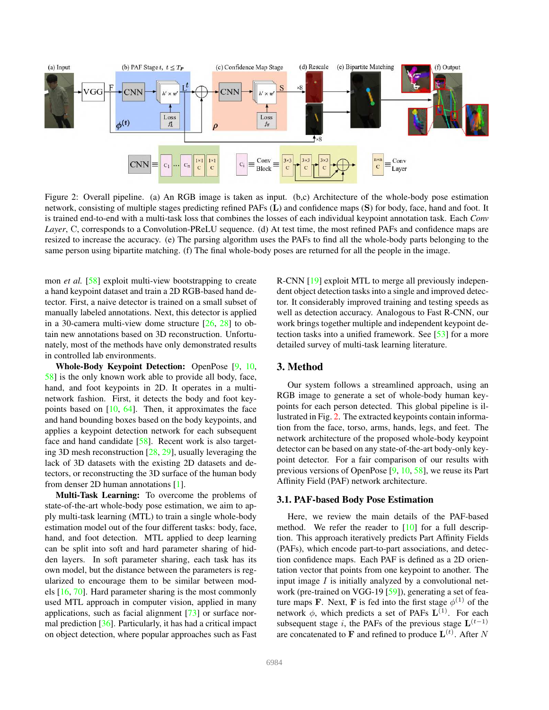

Figure 2: Overall pipeline. (a) An RGB image is taken as input. (b,c) Architecture of the whole-body pose estimation network, consisting of multiple stages predicting refined PAFs (L) and confidence maps (S) for body, face, hand and foot. It is trained end-to-end with a multi-task loss that combines the losses of each individual keypoint annotation task. Each *Conv Layer*, C, corresponds to a Convolution-PReLU sequence. (d) At test time, the most refined PAFs and confidence maps are resized to increase the accuracy. (e) The parsing algorithm uses the PAFs to find all the whole-body parts belonging to the same person using bipartite matching. (f) The final whole-body poses are returned for all the people in the image.

mon *et al.* [58] exploit multi-view bootstrapping to create a hand keypoint dataset and train a 2D RGB-based hand detector. First, a naive detector is trained on a small subset of manually labeled annotations. Next, this detector is applied in a 30-camera multi-view dome structure [26, 28] to obtain new annotations based on 3D reconstruction. Unfortunately, most of the methods have only demonstrated results in controlled lab environments.

Whole-Body Keypoint Detection: OpenPose [9, 10, 58] is the only known work able to provide all body, face, hand, and foot keypoints in 2D. It operates in a multinetwork fashion. First, it detects the body and foot keypoints based on [10, 64]. Then, it approximates the face and hand bounding boxes based on the body keypoints, and applies a keypoint detection network for each subsequent face and hand candidate [58]. Recent work is also targeting 3D mesh reconstruction [28, 29], usually leveraging the lack of 3D datasets with the existing 2D datasets and detectors, or reconstructing the 3D surface of the human body from denser 2D human annotations [1].

Multi-Task Learning: To overcome the problems of state-of-the-art whole-body pose estimation, we aim to apply multi-task learning (MTL) to train a single whole-body estimation model out of the four different tasks: body, face, hand, and foot detection. MTL applied to deep learning can be split into soft and hard parameter sharing of hidden layers. In soft parameter sharing, each task has its own model, but the distance between the parameters is regularized to encourage them to be similar between models [16, 70]. Hard parameter sharing is the most commonly used MTL approach in computer vision, applied in many applications, such as facial alignment [73] or surface normal prediction [36]. Particularly, it has had a critical impact on object detection, where popular approaches such as Fast

R-CNN [19] exploit MTL to merge all previously independent object detection tasks into a single and improved detector. It considerably improved training and testing speeds as well as detection accuracy. Analogous to Fast R-CNN, our work brings together multiple and independent keypoint detection tasks into a unified framework. See [53] for a more detailed survey of multi-task learning literature.

# 3. Method

Our system follows a streamlined approach, using an RGB image to generate a set of whole-body human keypoints for each person detected. This global pipeline is illustrated in Fig. 2. The extracted keypoints contain information from the face, torso, arms, hands, legs, and feet. The network architecture of the proposed whole-body keypoint detector can be based on any state-of-the-art body-only keypoint detector. For a fair comparison of our results with previous versions of OpenPose [9, 10, 58], we reuse its Part Affinity Field (PAF) network architecture.

#### 3.1. PAF-based Body Pose Estimation

Here, we review the main details of the PAF-based method. We refer the reader to  $[10]$  for a full description. This approach iteratively predicts Part Affinity Fields (PAFs), which encode part-to-part associations, and detection confidence maps. Each PAF is defined as a 2D orientation vector that points from one keypoint to another. The input image  $I$  is initially analyzed by a convolutional network (pre-trained on VGG-19 [59]), generating a set of feature maps **F**. Next, **F** is fed into the first stage  $\phi^{(1)}$  of the network  $\phi$ , which predicts a set of PAFs  $\mathbf{L}^{(1)}$ . For each subsequent stage i, the PAFs of the previous stage  $\mathbf{L}^{(t-1)}$ are concatenated to **F** and refined to produce  $\mathbf{L}^{(t)}$ . After N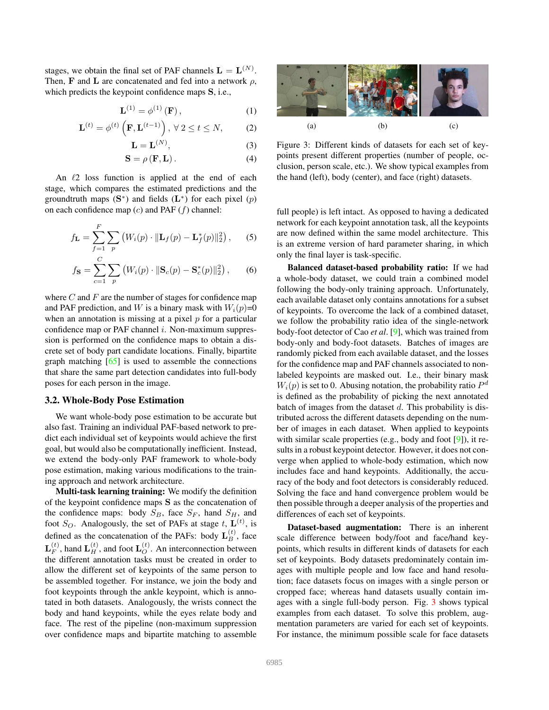stages, we obtain the final set of PAF channels  $\mathbf{L} = \mathbf{L}^{(N)}$ . Then, F and L are concatenated and fed into a network  $\rho$ , which predicts the keypoint confidence maps S, i.e.,

$$
\mathbf{L}^{(1)} = \phi^{(1)}\left(\mathbf{F}\right),\tag{1}
$$

$$
\mathbf{L}^{(t)} = \phi^{(t)}\left(\mathbf{F}, \mathbf{L}^{(t-1)}\right), \ \forall \ 2 \le t \le N,\tag{2}
$$

$$
\mathbf{L} = \mathbf{L}^{(N)},\tag{3}
$$

 $S = \rho(F, L)$ . (4)

An  $\ell$ 2 loss function is applied at the end of each stage, which compares the estimated predictions and the groundtruth maps  $(S^*)$  and fields  $(L^*)$  for each pixel  $(p)$ on each confidence map  $(c)$  and PAF  $(f)$  channel:

$$
f_{\mathbf{L}} = \sum_{f=1}^{F} \sum_{p} \left( W_i(p) \cdot \|\mathbf{L}_f(p) - \mathbf{L}_f^*(p)\|_2^2 \right), \quad (5)
$$

$$
f_{\mathbf{S}} = \sum_{c=1}^{C} \sum_{p} (W_i(p) \cdot ||\mathbf{S}_c(p) - \mathbf{S}_c^*(p)||_2^2), \qquad (6)
$$

where  $C$  and  $F$  are the number of stages for confidence map and PAF prediction, and W is a binary mask with  $W_i(p)=0$ when an annotation is missing at a pixel  $p$  for a particular confidence map or PAF channel  $i$ . Non-maximum suppression is performed on the confidence maps to obtain a discrete set of body part candidate locations. Finally, bipartite graph matching  $[65]$  is used to assemble the connections that share the same part detection candidates into full-body poses for each person in the image.

#### 3.2. Whole-Body Pose Estimation

We want whole-body pose estimation to be accurate but also fast. Training an individual PAF-based network to predict each individual set of keypoints would achieve the first goal, but would also be computationally inefficient. Instead, we extend the body-only PAF framework to whole-body pose estimation, making various modifications to the training approach and network architecture.

Multi-task learning training: We modify the definition of the keypoint confidence maps S as the concatenation of the confidence maps: body  $S_B$ , face  $S_F$ , hand  $S_H$ , and foot  $S_O$ . Analogously, the set of PAFs at stage t,  $\mathbf{L}^{(t)}$ , is defined as the concatenation of the PAFs: body  $\mathbf{L}_{B}^{(t)}$ , face  $\mathbf{L}_{F}^{(t)}$ , hand  $\mathbf{L}_{H}^{(t)}$ , and foot  $\mathbf{L}_{O}^{(t)}$ . An interconnection between the different annotation tasks must be created in order to allow the different set of keypoints of the same person to be assembled together. For instance, we join the body and foot keypoints through the ankle keypoint, which is annotated in both datasets. Analogously, the wrists connect the body and hand keypoints, while the eyes relate body and face. The rest of the pipeline (non-maximum suppression over confidence maps and bipartite matching to assemble



Figure 3: Different kinds of datasets for each set of keypoints present different properties (number of people, occlusion, person scale, etc.). We show typical examples from the hand (left), body (center), and face (right) datasets.

full people) is left intact. As opposed to having a dedicated network for each keypoint annotation task, all the keypoints are now defined within the same model architecture. This is an extreme version of hard parameter sharing, in which only the final layer is task-specific.

Balanced dataset-based probability ratio: If we had a whole-body dataset, we could train a combined model following the body-only training approach. Unfortunately, each available dataset only contains annotations for a subset of keypoints. To overcome the lack of a combined dataset, we follow the probability ratio idea of the single-network body-foot detector of Cao *et al*. [9], which was trained from body-only and body-foot datasets. Batches of images are randomly picked from each available dataset, and the losses for the confidence map and PAF channels associated to nonlabeled keypoints are masked out. I.e., their binary mask  $W_i(p)$  is set to 0. Abusing notation, the probability ratio  $P^d$ is defined as the probability of picking the next annotated batch of images from the dataset  $d$ . This probability is distributed across the different datasets depending on the number of images in each dataset. When applied to keypoints with similar scale properties (e.g., body and foot [9]), it results in a robust keypoint detector. However, it does not converge when applied to whole-body estimation, which now includes face and hand keypoints. Additionally, the accuracy of the body and foot detectors is considerably reduced. Solving the face and hand convergence problem would be then possible through a deeper analysis of the properties and differences of each set of keypoints.

Dataset-based augmentation: There is an inherent scale difference between body/foot and face/hand keypoints, which results in different kinds of datasets for each set of keypoints. Body datasets predominately contain images with multiple people and low face and hand resolution; face datasets focus on images with a single person or cropped face; whereas hand datasets usually contain images with a single full-body person. Fig. 3 shows typical examples from each dataset. To solve this problem, augmentation parameters are varied for each set of keypoints. For instance, the minimum possible scale for face datasets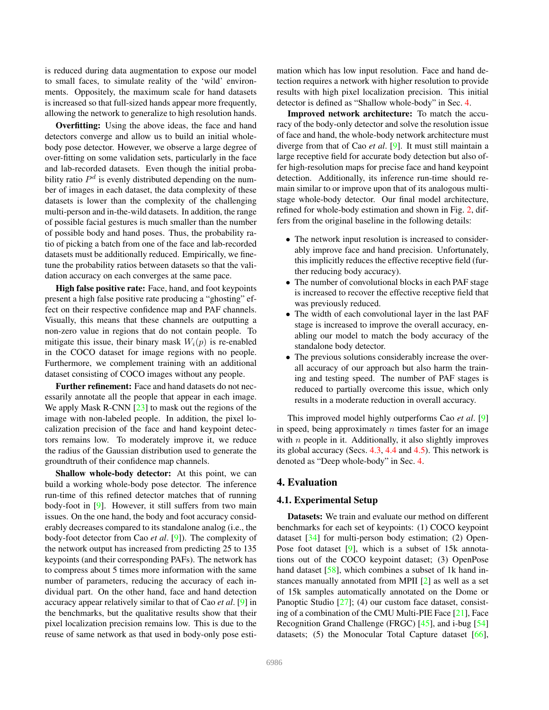is reduced during data augmentation to expose our model to small faces, to simulate reality of the 'wild' environments. Oppositely, the maximum scale for hand datasets is increased so that full-sized hands appear more frequently, allowing the network to generalize to high resolution hands.

Overfitting: Using the above ideas, the face and hand detectors converge and allow us to build an initial wholebody pose detector. However, we observe a large degree of over-fitting on some validation sets, particularly in the face and lab-recorded datasets. Even though the initial probability ratio  $P<sup>d</sup>$  is evenly distributed depending on the number of images in each dataset, the data complexity of these datasets is lower than the complexity of the challenging multi-person and in-the-wild datasets. In addition, the range of possible facial gestures is much smaller than the number of possible body and hand poses. Thus, the probability ratio of picking a batch from one of the face and lab-recorded datasets must be additionally reduced. Empirically, we finetune the probability ratios between datasets so that the validation accuracy on each converges at the same pace.

High false positive rate: Face, hand, and foot keypoints present a high false positive rate producing a "ghosting" effect on their respective confidence map and PAF channels. Visually, this means that these channels are outputting a non-zero value in regions that do not contain people. To mitigate this issue, their binary mask  $W_i(p)$  is re-enabled in the COCO dataset for image regions with no people. Furthermore, we complement training with an additional dataset consisting of COCO images without any people.

Further refinement: Face and hand datasets do not necessarily annotate all the people that appear in each image. We apply Mask R-CNN [23] to mask out the regions of the image with non-labeled people. In addition, the pixel localization precision of the face and hand keypoint detectors remains low. To moderately improve it, we reduce the radius of the Gaussian distribution used to generate the groundtruth of their confidence map channels.

Shallow whole-body detector: At this point, we can build a working whole-body pose detector. The inference run-time of this refined detector matches that of running body-foot in [9]. However, it still suffers from two main issues. On the one hand, the body and foot accuracy considerably decreases compared to its standalone analog (i.e., the body-foot detector from Cao *et al*. [9]). The complexity of the network output has increased from predicting 25 to 135 keypoints (and their corresponding PAFs). The network has to compress about 5 times more information with the same number of parameters, reducing the accuracy of each individual part. On the other hand, face and hand detection accuracy appear relatively similar to that of Cao *et al*. [9] in the benchmarks, but the qualitative results show that their pixel localization precision remains low. This is due to the reuse of same network as that used in body-only pose estimation which has low input resolution. Face and hand detection requires a network with higher resolution to provide results with high pixel localization precision. This initial detector is defined as "Shallow whole-body" in Sec. 4.

Improved network architecture: To match the accuracy of the body-only detector and solve the resolution issue of face and hand, the whole-body network architecture must diverge from that of Cao *et al*. [9]. It must still maintain a large receptive field for accurate body detection but also offer high-resolution maps for precise face and hand keypoint detection. Additionally, its inference run-time should remain similar to or improve upon that of its analogous multistage whole-body detector. Our final model architecture, refined for whole-body estimation and shown in Fig. 2, differs from the original baseline in the following details:

- The network input resolution is increased to considerably improve face and hand precision. Unfortunately, this implicitly reduces the effective receptive field (further reducing body accuracy).
- The number of convolutional blocks in each PAF stage is increased to recover the effective receptive field that was previously reduced.
- The width of each convolutional layer in the last PAF stage is increased to improve the overall accuracy, enabling our model to match the body accuracy of the standalone body detector.
- The previous solutions considerably increase the overall accuracy of our approach but also harm the training and testing speed. The number of PAF stages is reduced to partially overcome this issue, which only results in a moderate reduction in overall accuracy.

This improved model highly outperforms Cao *et al*. [9] in speed, being approximately  $n$  times faster for an image with  $n$  people in it. Additionally, it also slightly improves its global accuracy (Secs. 4.3, 4.4 and 4.5). This network is denoted as "Deep whole-body" in Sec. 4.

# 4. Evaluation

#### 4.1. Experimental Setup

Datasets: We train and evaluate our method on different benchmarks for each set of keypoints: (1) COCO keypoint dataset [34] for multi-person body estimation; (2) Open-Pose foot dataset [9], which is a subset of 15k annotations out of the COCO keypoint dataset; (3) OpenPose hand dataset [58], which combines a subset of 1k hand instances manually annotated from MPII [2] as well as a set of 15k samples automatically annotated on the Dome or Panoptic Studio [27]; (4) our custom face dataset, consisting of a combination of the CMU Multi-PIE Face [21], Face Recognition Grand Challenge (FRGC) [45], and i-bug [54] datasets; (5) the Monocular Total Capture dataset [66],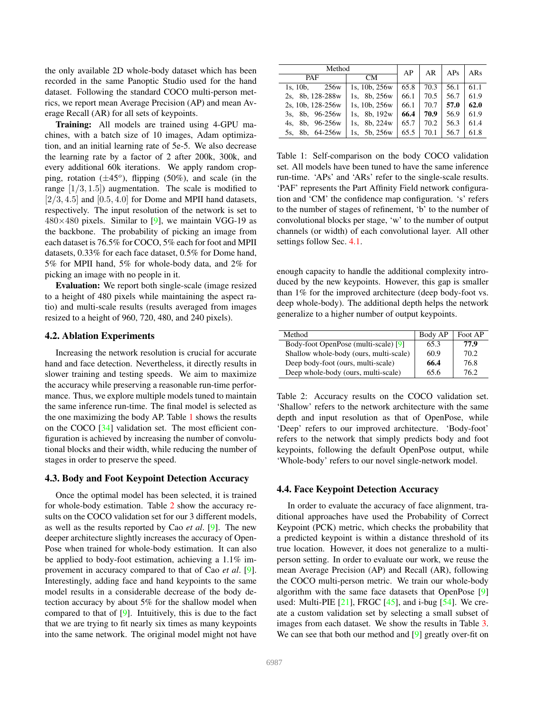the only available 2D whole-body dataset which has been recorded in the same Panoptic Studio used for the hand dataset. Following the standard COCO multi-person metrics, we report mean Average Precision (AP) and mean Average Recall (AR) for all sets of keypoints.

Training: All models are trained using 4-GPU machines, with a batch size of 10 images, Adam optimization, and an initial learning rate of 5e-5. We also decrease the learning rate by a factor of 2 after 200k, 300k, and every additional 60k iterations. We apply random cropping, rotation  $(\pm 45^{\circ})$ , flipping (50%), and scale (in the range  $[1/3, 1.5]$  augmentation. The scale is modified to  $[2/3, 4.5]$  and  $[0.5, 4.0]$  for Dome and MPII hand datasets, respectively. The input resolution of the network is set to  $480\times480$  pixels. Similar to [9], we maintain VGG-19 as the backbone. The probability of picking an image from each dataset is 76.5% for COCO, 5% each for foot and MPII datasets, 0.33% for each face dataset, 0.5% for Dome hand, 5% for MPII hand, 5% for whole-body data, and 2% for picking an image with no people in it.

Evaluation: We report both single-scale (image resized to a height of 480 pixels while maintaining the aspect ratio) and multi-scale results (results averaged from images resized to a height of 960, 720, 480, and 240 pixels).

### 4.2. Ablation Experiments

Increasing the network resolution is crucial for accurate hand and face detection. Nevertheless, it directly results in slower training and testing speeds. We aim to maximize the accuracy while preserving a reasonable run-time performance. Thus, we explore multiple models tuned to maintain the same inference run-time. The final model is selected as the one maximizing the body AP. Table 1 shows the results on the COCO [34] validation set. The most efficient configuration is achieved by increasing the number of convolutional blocks and their width, while reducing the number of stages in order to preserve the speed.

# 4.3. Body and Foot Keypoint Detection Accuracy

Once the optimal model has been selected, it is trained for whole-body estimation. Table 2 show the accuracy results on the COCO validation set for our 3 different models, as well as the results reported by Cao *et al*. [9]. The new deeper architecture slightly increases the accuracy of Open-Pose when trained for whole-body estimation. It can also be applied to body-foot estimation, achieving a 1.1% improvement in accuracy compared to that of Cao *et al*. [9]. Interestingly, adding face and hand keypoints to the same model results in a considerable decrease of the body detection accuracy by about 5% for the shallow model when compared to that of [9]. Intuitively, this is due to the fact that we are trying to fit nearly six times as many keypoints into the same network. The original model might not have

| Method                       |                    | AP   | AR   | APs  | ARs  |
|------------------------------|--------------------|------|------|------|------|
| PAF                          | CM.                |      |      |      |      |
| 256 <sub>w</sub><br>1s. 10b. | 1s, $10b$ , $256w$ | 65.8 | 70.3 | 56.1 | 61.1 |
| 2s. 8b. 128-288w             | 1s, 8b, 256w       | 66.1 | 70.5 | 56.7 | 61.9 |
| 2s, 10b, 128-256w            | 1s, 10b, 256w      | 66.1 | 70.7 | 57.0 | 62.0 |
| 8b, 96-256w<br>3s.           | 8b. 192w<br>1s.    | 66.4 | 70.9 | 56.9 | 61.9 |
| 8b, 96-256w<br>4s.           | 8b, 224w<br>1s.    | 65.7 | 70.2 | 56.3 | 61.4 |
| 8b, 64-256w<br>5s.           | 1s. 5b. 256w       | 65.5 | 70.1 | 56.7 | 61.8 |

Table 1: Self-comparison on the body COCO validation set. All models have been tuned to have the same inference run-time. 'APs' and 'ARs' refer to the single-scale results. 'PAF' represents the Part Affinity Field network configuration and 'CM' the confidence map configuration. 's' refers to the number of stages of refinement, 'b' to the number of convolutional blocks per stage, 'w' to the number of output channels (or width) of each convolutional layer. All other settings follow Sec. 4.1.

enough capacity to handle the additional complexity introduced by the new keypoints. However, this gap is smaller than 1% for the improved architecture (deep body-foot vs. deep whole-body). The additional depth helps the network generalize to a higher number of output keypoints.

| Method                                 | Body AP | Foot AP |
|----------------------------------------|---------|---------|
| Body-foot OpenPose (multi-scale) [9]   | 65.3    | 77.9    |
| Shallow whole-body (ours, multi-scale) | 60.9    | 70.2    |
| Deep body-foot (ours, multi-scale)     | 66.4    | 76.8    |
| Deep whole-body (ours, multi-scale)    | 65.6    | 762     |

Table 2: Accuracy results on the COCO validation set. 'Shallow' refers to the network architecture with the same depth and input resolution as that of OpenPose, while 'Deep' refers to our improved architecture. 'Body-foot' refers to the network that simply predicts body and foot keypoints, following the default OpenPose output, while 'Whole-body' refers to our novel single-network model.

### 4.4. Face Keypoint Detection Accuracy

In order to evaluate the accuracy of face alignment, traditional approaches have used the Probability of Correct Keypoint (PCK) metric, which checks the probability that a predicted keypoint is within a distance threshold of its true location. However, it does not generalize to a multiperson setting. In order to evaluate our work, we reuse the mean Average Precision (AP) and Recall (AR), following the COCO multi-person metric. We train our whole-body algorithm with the same face datasets that OpenPose [9] used: Multi-PIE  $[21]$ , FRGC  $[45]$ , and i-bug  $[54]$ . We create a custom validation set by selecting a small subset of images from each dataset. We show the results in Table 3. We can see that both our method and [9] greatly over-fit on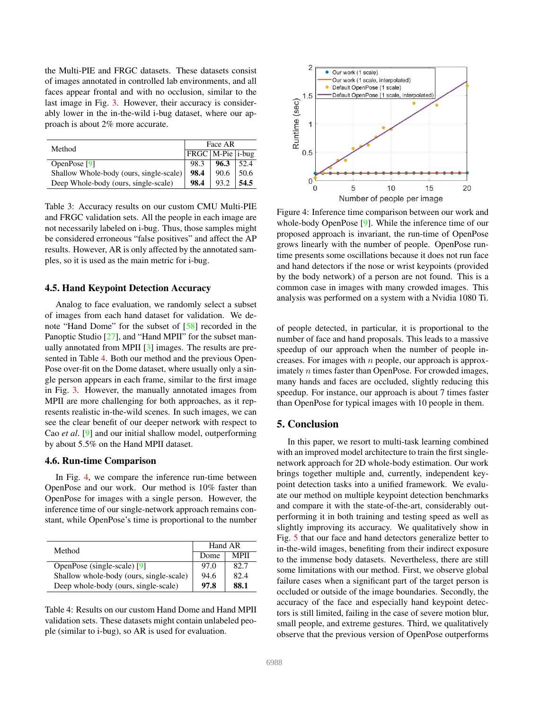the Multi-PIE and FRGC datasets. These datasets consist of images annotated in controlled lab environments, and all faces appear frontal and with no occlusion, similar to the last image in Fig. 3. However, their accuracy is considerably lower in the in-the-wild i-bug dataset, where our approach is about 2% more accurate.

| Method                                  | Face AR                |      |      |
|-----------------------------------------|------------------------|------|------|
|                                         | $TRGC$   M-Pie   i-bug |      |      |
| OpenPose $[9]$                          | 98.3                   | 96.3 | 52.4 |
| Shallow Whole-body (ours, single-scale) | 98.4                   | 90.6 | 50.6 |
| Deep Whole-body (ours, single-scale)    | 98.4                   | 93.2 | 54.5 |

Table 3: Accuracy results on our custom CMU Multi-PIE and FRGC validation sets. All the people in each image are not necessarily labeled on i-bug. Thus, those samples might be considered erroneous "false positives" and affect the AP results. However, AR is only affected by the annotated samples, so it is used as the main metric for i-bug.

### 4.5. Hand Keypoint Detection Accuracy

Analog to face evaluation, we randomly select a subset of images from each hand dataset for validation. We denote "Hand Dome" for the subset of [58] recorded in the Panoptic Studio [27], and "Hand MPII" for the subset manually annotated from MPII [3] images. The results are presented in Table 4. Both our method and the previous Open-Pose over-fit on the Dome dataset, where usually only a single person appears in each frame, similar to the first image in Fig. 3. However, the manually annotated images from MPII are more challenging for both approaches, as it represents realistic in-the-wild scenes. In such images, we can see the clear benefit of our deeper network with respect to Cao *et al*. [9] and our initial shallow model, outperforming by about 5.5% on the Hand MPII dataset.

### 4.6. Run-time Comparison

In Fig. 4, we compare the inference run-time between OpenPose and our work. Our method is 10% faster than OpenPose for images with a single person. However, the inference time of our single-network approach remains constant, while OpenPose's time is proportional to the number

| Method                                  | Hand AR |             |  |
|-----------------------------------------|---------|-------------|--|
|                                         | Dome    | <b>MPII</b> |  |
| OpenPose (single-scale) [9]             | 97.0    | 82.7        |  |
| Shallow whole-body (ours, single-scale) | 94.6    | 82.4        |  |
| Deep whole-body (ours, single-scale)    | 97.8    | 88.1        |  |

Table 4: Results on our custom Hand Dome and Hand MPII validation sets. These datasets might contain unlabeled people (similar to i-bug), so AR is used for evaluation.



Figure 4: Inference time comparison between our work and whole-body OpenPose [9]. While the inference time of our proposed approach is invariant, the run-time of OpenPose grows linearly with the number of people. OpenPose runtime presents some oscillations because it does not run face and hand detectors if the nose or wrist keypoints (provided by the body network) of a person are not found. This is a common case in images with many crowded images. This analysis was performed on a system with a Nvidia 1080 Ti.

of people detected, in particular, it is proportional to the number of face and hand proposals. This leads to a massive speedup of our approach when the number of people increases. For images with  $n$  people, our approach is approximately *n* times faster than OpenPose. For crowded images, many hands and faces are occluded, slightly reducing this speedup. For instance, our approach is about 7 times faster than OpenPose for typical images with 10 people in them.

# 5. Conclusion

In this paper, we resort to multi-task learning combined with an improved model architecture to train the first singlenetwork approach for 2D whole-body estimation. Our work brings together multiple and, currently, independent keypoint detection tasks into a unified framework. We evaluate our method on multiple keypoint detection benchmarks and compare it with the state-of-the-art, considerably outperforming it in both training and testing speed as well as slightly improving its accuracy. We qualitatively show in Fig. 5 that our face and hand detectors generalize better to in-the-wild images, benefiting from their indirect exposure to the immense body datasets. Nevertheless, there are still some limitations with our method. First, we observe global failure cases when a significant part of the target person is occluded or outside of the image boundaries. Secondly, the accuracy of the face and especially hand keypoint detectors is still limited, failing in the case of severe motion blur, small people, and extreme gestures. Third, we qualitatively observe that the previous version of OpenPose outperforms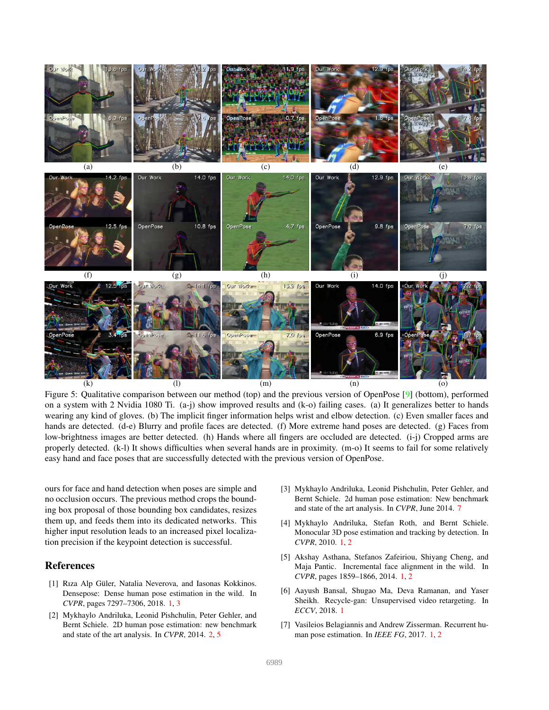

Figure 5: Qualitative comparison between our method (top) and the previous version of OpenPose [9] (bottom), performed on a system with 2 Nvidia 1080 Ti. (a-j) show improved results and (k-o) failing cases. (a) It generalizes better to hands wearing any kind of gloves. (b) The implicit finger information helps wrist and elbow detection. (c) Even smaller faces and hands are detected. (d-e) Blurry and profile faces are detected. (f) More extreme hand poses are detected. (g) Faces from low-brightness images are better detected. (h) Hands where all fingers are occluded are detected. (i-j) Cropped arms are properly detected. (k-l) It shows difficulties when several hands are in proximity. (m-o) It seems to fail for some relatively easy hand and face poses that are successfully detected with the previous version of OpenPose.

ours for face and hand detection when poses are simple and no occlusion occurs. The previous method crops the bounding box proposal of those bounding box candidates, resizes them up, and feeds them into its dedicated networks. This higher input resolution leads to an increased pixel localization precision if the keypoint detection is successful.

# References

- [1] Rıza Alp Güler, Natalia Neverova, and Iasonas Kokkinos. Densepose: Dense human pose estimation in the wild. In *CVPR*, pages 7297–7306, 2018. 1, 3
- [2] Mykhaylo Andriluka, Leonid Pishchulin, Peter Gehler, and Bernt Schiele. 2D human pose estimation: new benchmark and state of the art analysis. In *CVPR*, 2014. 2, 5
- [3] Mykhaylo Andriluka, Leonid Pishchulin, Peter Gehler, and Bernt Schiele. 2d human pose estimation: New benchmark and state of the art analysis. In *CVPR*, June 2014. 7
- [4] Mykhaylo Andriluka, Stefan Roth, and Bernt Schiele. Monocular 3D pose estimation and tracking by detection. In *CVPR*, 2010. 1, 2
- [5] Akshay Asthana, Stefanos Zafeiriou, Shiyang Cheng, and Maja Pantic. Incremental face alignment in the wild. In *CVPR*, pages 1859–1866, 2014. 1, 2
- [6] Aayush Bansal, Shugao Ma, Deva Ramanan, and Yaser Sheikh. Recycle-gan: Unsupervised video retargeting. In *ECCV*, 2018. 1
- [7] Vasileios Belagiannis and Andrew Zisserman. Recurrent human pose estimation. In *IEEE FG*, 2017. 1, 2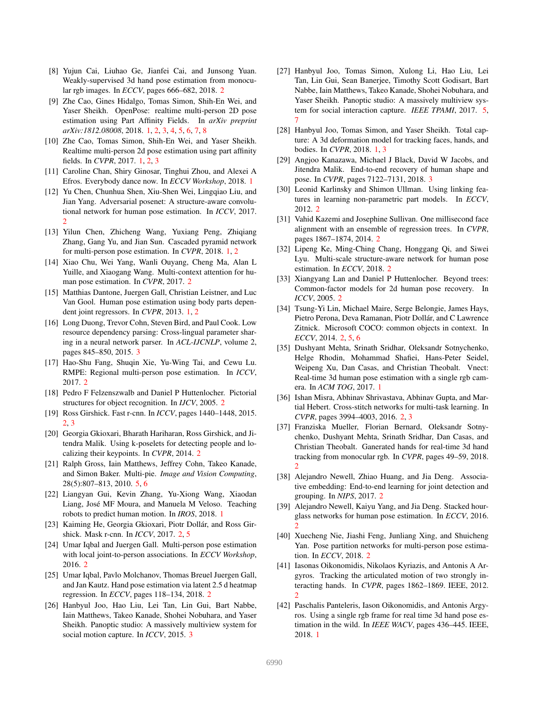- [8] Yujun Cai, Liuhao Ge, Jianfei Cai, and Junsong Yuan. Weakly-supervised 3d hand pose estimation from monocular rgb images. In *ECCV*, pages 666–682, 2018. 2
- [9] Zhe Cao, Gines Hidalgo, Tomas Simon, Shih-En Wei, and Yaser Sheikh. OpenPose: realtime multi-person 2D pose estimation using Part Affinity Fields. In *arXiv preprint arXiv:1812.08008*, 2018. 1, 2, 3, 4, 5, 6, 7, 8
- [10] Zhe Cao, Tomas Simon, Shih-En Wei, and Yaser Sheikh. Realtime multi-person 2d pose estimation using part affinity fields. In *CVPR*, 2017. 1, 2, 3
- [11] Caroline Chan, Shiry Ginosar, Tinghui Zhou, and Alexei A Efros. Everybody dance now. In *ECCV Workshop*, 2018. 1
- [12] Yu Chen, Chunhua Shen, Xiu-Shen Wei, Lingqiao Liu, and Jian Yang. Adversarial posenet: A structure-aware convolutional network for human pose estimation. In *ICCV*, 2017. 2
- [13] Yilun Chen, Zhicheng Wang, Yuxiang Peng, Zhiqiang Zhang, Gang Yu, and Jian Sun. Cascaded pyramid network for multi-person pose estimation. In *CVPR*, 2018. 1, 2
- [14] Xiao Chu, Wei Yang, Wanli Ouyang, Cheng Ma, Alan L Yuille, and Xiaogang Wang. Multi-context attention for human pose estimation. In *CVPR*, 2017. 2
- [15] Matthias Dantone, Juergen Gall, Christian Leistner, and Luc Van Gool. Human pose estimation using body parts dependent joint regressors. In *CVPR*, 2013. 1, 2
- [16] Long Duong, Trevor Cohn, Steven Bird, and Paul Cook. Low resource dependency parsing: Cross-lingual parameter sharing in a neural network parser. In *ACL-IJCNLP*, volume 2, pages 845–850, 2015. 3
- [17] Hao-Shu Fang, Shuqin Xie, Yu-Wing Tai, and Cewu Lu. RMPE: Regional multi-person pose estimation. In *ICCV*, 2017. 2
- [18] Pedro F Felzenszwalb and Daniel P Huttenlocher. Pictorial structures for object recognition. In *IJCV*, 2005. 2
- [19] Ross Girshick. Fast r-cnn. In *ICCV*, pages 1440–1448, 2015. 2, 3
- [20] Georgia Gkioxari, Bharath Hariharan, Ross Girshick, and Jitendra Malik. Using k-poselets for detecting people and localizing their keypoints. In *CVPR*, 2014. 2
- [21] Ralph Gross, Iain Matthews, Jeffrey Cohn, Takeo Kanade, and Simon Baker. Multi-pie. *Image and Vision Computing*, 28(5):807–813, 2010. 5, 6
- [22] Liangyan Gui, Kevin Zhang, Yu-Xiong Wang, Xiaodan Liang, Jose MF Moura, and Manuela M Veloso. Teaching ´ robots to predict human motion. In *IROS*, 2018. 1
- [23] Kaiming He, Georgia Gkioxari, Piotr Dollár, and Ross Girshick. Mask r-cnn. In *ICCV*, 2017. 2, 5
- [24] Umar Iqbal and Juergen Gall. Multi-person pose estimation with local joint-to-person associations. In *ECCV Workshop*, 2016. 2
- [25] Umar Iqbal, Pavlo Molchanov, Thomas Breuel Juergen Gall, and Jan Kautz. Hand pose estimation via latent 2.5 d heatmap regression. In *ECCV*, pages 118–134, 2018. 2
- [26] Hanbyul Joo, Hao Liu, Lei Tan, Lin Gui, Bart Nabbe, Iain Matthews, Takeo Kanade, Shohei Nobuhara, and Yaser Sheikh. Panoptic studio: A massively multiview system for social motion capture. In *ICCV*, 2015. 3
- [27] Hanbyul Joo, Tomas Simon, Xulong Li, Hao Liu, Lei Tan, Lin Gui, Sean Banerjee, Timothy Scott Godisart, Bart Nabbe, Iain Matthews, Takeo Kanade, Shohei Nobuhara, and Yaser Sheikh. Panoptic studio: A massively multiview system for social interaction capture. *IEEE TPAMI*, 2017. 5, 7
- [28] Hanbyul Joo, Tomas Simon, and Yaser Sheikh. Total capture: A 3d deformation model for tracking faces, hands, and bodies. In *CVPR*, 2018. 1, 3
- [29] Angjoo Kanazawa, Michael J Black, David W Jacobs, and Jitendra Malik. End-to-end recovery of human shape and pose. In *CVPR*, pages 7122–7131, 2018. 3
- [30] Leonid Karlinsky and Shimon Ullman. Using linking features in learning non-parametric part models. In *ECCV*, 2012. 2
- [31] Vahid Kazemi and Josephine Sullivan. One millisecond face alignment with an ensemble of regression trees. In *CVPR*, pages 1867–1874, 2014. 2
- [32] Lipeng Ke, Ming-Ching Chang, Honggang Qi, and Siwei Lyu. Multi-scale structure-aware network for human pose estimation. In *ECCV*, 2018. 2
- [33] Xiangyang Lan and Daniel P Huttenlocher. Beyond trees: Common-factor models for 2d human pose recovery. In *ICCV*, 2005. 2
- [34] Tsung-Yi Lin, Michael Maire, Serge Belongie, James Hays, Pietro Perona, Deva Ramanan, Piotr Dollár, and C Lawrence Zitnick. Microsoft COCO: common objects in context. In *ECCV*, 2014. 2, 5, 6
- [35] Dushyant Mehta, Srinath Sridhar, Oleksandr Sotnychenko, Helge Rhodin, Mohammad Shafiei, Hans-Peter Seidel, Weipeng Xu, Dan Casas, and Christian Theobalt. Vnect: Real-time 3d human pose estimation with a single rgb camera. In *ACM TOG*, 2017. 1
- [36] Ishan Misra, Abhinav Shrivastava, Abhinav Gupta, and Martial Hebert. Cross-stitch networks for multi-task learning. In *CVPR*, pages 3994–4003, 2016. 2, 3
- [37] Franziska Mueller, Florian Bernard, Oleksandr Sotnychenko, Dushyant Mehta, Srinath Sridhar, Dan Casas, and Christian Theobalt. Ganerated hands for real-time 3d hand tracking from monocular rgb. In *CVPR*, pages 49–59, 2018.  $\mathfrak{D}$
- [38] Alejandro Newell, Zhiao Huang, and Jia Deng. Associative embedding: End-to-end learning for joint detection and grouping. In *NIPS*, 2017. 2
- [39] Alejandro Newell, Kaiyu Yang, and Jia Deng. Stacked hourglass networks for human pose estimation. In *ECCV*, 2016. 2
- [40] Xuecheng Nie, Jiashi Feng, Junliang Xing, and Shuicheng Yan. Pose partition networks for multi-person pose estimation. In *ECCV*, 2018. 2
- [41] Iasonas Oikonomidis, Nikolaos Kyriazis, and Antonis A Argyros. Tracking the articulated motion of two strongly interacting hands. In *CVPR*, pages 1862–1869. IEEE, 2012. 2
- [42] Paschalis Panteleris, Iason Oikonomidis, and Antonis Argyros. Using a single rgb frame for real time 3d hand pose estimation in the wild. In *IEEE WACV*, pages 436–445. IEEE, 2018. 1